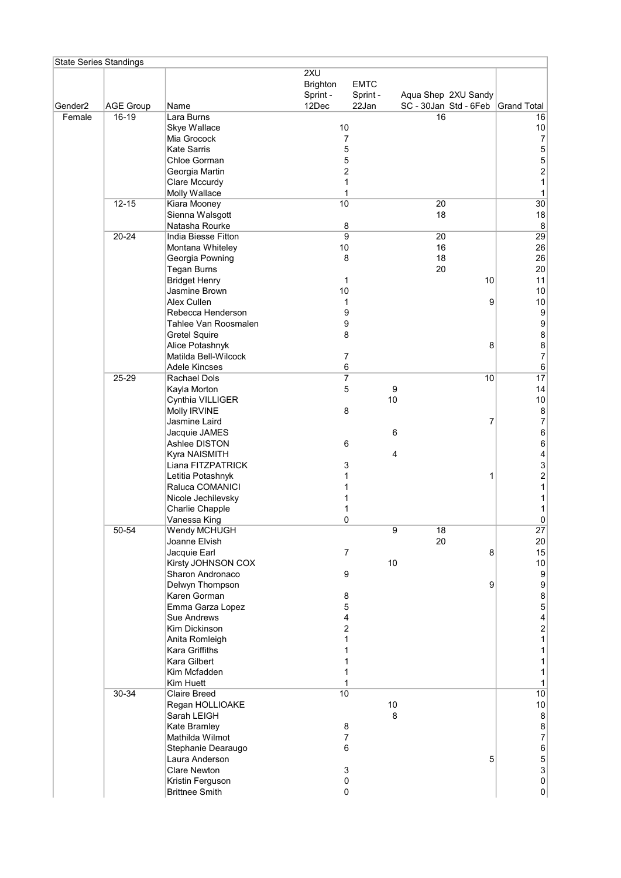|                     | <b>State Series Standings</b> |                                           |                                             |                                        |                       |                     |                                                  |
|---------------------|-------------------------------|-------------------------------------------|---------------------------------------------|----------------------------------------|-----------------------|---------------------|--------------------------------------------------|
| Gender <sub>2</sub> | <b>AGE Group</b>              | Name                                      | 2XU<br><b>Brighton</b><br>Sprint -<br>12Dec | <b>EMTC</b><br>Sprint -<br>22Jan       | SC - 30Jan Std - 6Feb | Aqua Shep 2XU Sandy | <b>Grand Total</b>                               |
| Female              | 16-19                         | Lara Burns                                |                                             |                                        | 16                    |                     | 16                                               |
|                     |                               | Skye Wallace                              | 10                                          |                                        |                       |                     | $10\,$                                           |
|                     |                               | Mia Grocock                               |                                             | 7                                      |                       |                     | $\boldsymbol{7}$                                 |
|                     |                               | <b>Kate Sarris</b>                        |                                             | 5                                      |                       |                     | 5                                                |
|                     |                               | Chloe Gorman                              |                                             | 5                                      |                       |                     | 5                                                |
|                     |                               | Georgia Martin                            |                                             | $\overline{c}$                         |                       |                     | $\overline{c}$                                   |
|                     |                               | Clare Mccurdy                             |                                             | 1                                      |                       |                     | $\mathbf{1}$                                     |
|                     |                               | Molly Wallace                             |                                             | 1                                      |                       |                     | 1                                                |
|                     | $12 - 15$                     | Kiara Mooney                              | 10                                          |                                        | 20                    |                     | 30                                               |
|                     |                               | Sienna Walsgott                           |                                             |                                        | 18                    |                     | 18                                               |
|                     | 20-24                         | Natasha Rourke<br>India Biesse Fitton     |                                             | 8<br>$\overline{9}$                    | 20                    |                     | $\bf 8$<br>29                                    |
|                     |                               | Montana Whiteley                          | $10$                                        |                                        | 16                    |                     | 26                                               |
|                     |                               | Georgia Powning                           |                                             | 8                                      | 18                    |                     | 26                                               |
|                     |                               | <b>Tegan Burns</b>                        |                                             |                                        | 20                    |                     | $20\,$                                           |
|                     |                               | <b>Bridget Henry</b>                      |                                             | 1                                      |                       | 10                  | 11                                               |
|                     |                               | Jasmine Brown                             | 10                                          |                                        |                       |                     | 10                                               |
|                     |                               | Alex Cullen                               |                                             | 1                                      |                       | 9                   | $10$                                             |
|                     |                               | Rebecca Henderson                         |                                             | 9                                      |                       |                     | $\boldsymbol{9}$                                 |
|                     |                               | Tahlee Van Roosmalen                      |                                             | 9                                      |                       |                     | $\boldsymbol{9}$                                 |
|                     |                               | <b>Gretel Squire</b>                      |                                             | 8                                      |                       |                     | $\bf 8$                                          |
|                     |                               | Alice Potashnyk                           |                                             |                                        |                       | 8                   | 8                                                |
|                     |                               | Matilda Bell-Wilcock                      |                                             | $\overline{7}$                         |                       |                     | $\overline{\mathcal{I}}$                         |
|                     |                               | <b>Adele Kincses</b>                      |                                             | 6                                      |                       |                     | $\,6$                                            |
|                     | 25-29                         | Rachael Dols                              |                                             | $\overline{7}$                         |                       | 10                  | 17                                               |
|                     |                               | Kayla Morton                              |                                             | $\mathbf 5$                            | $\boldsymbol{9}$      |                     | 14                                               |
|                     |                               | Cynthia VILLIGER                          |                                             | 8                                      | 10                    |                     | $10$                                             |
|                     |                               | Molly IRVINE<br>Jasmine Laird             |                                             |                                        |                       | 7                   | $\,8\,$<br>$\boldsymbol{7}$                      |
|                     |                               | Jacquie JAMES                             |                                             |                                        | 6                     |                     | $\,6$                                            |
|                     |                               | Ashlee DISTON                             |                                             | 6                                      |                       |                     | $\,6$                                            |
|                     |                               | Kyra NAISMITH                             |                                             |                                        | 4                     |                     | 4                                                |
|                     |                               | Liana FITZPATRICK                         |                                             | 3                                      |                       |                     | 3                                                |
|                     |                               | Letitia Potashnyk                         |                                             | 1                                      |                       | 1                   | $\overline{\mathbf{c}}$                          |
|                     |                               | Raluca COMANICI                           |                                             | 1                                      |                       |                     | $\mathbf{1}$                                     |
|                     |                               | Nicole Jechilevsky                        |                                             | 1                                      |                       |                     | $\mathbf{1}$                                     |
|                     |                               | Charlie Chapple                           |                                             | 1                                      |                       |                     | 1                                                |
|                     |                               | Vanessa King                              |                                             | 0                                      |                       |                     | 0                                                |
|                     | 50-54                         | Wendy MCHUGH                              |                                             |                                        | 9<br>18               |                     | 27                                               |
|                     |                               | Joanne Elvish                             |                                             |                                        | 20                    |                     | $20\,$                                           |
|                     |                               | Jacquie Earl                              |                                             | $\overline{7}$                         |                       | 8                   | 15                                               |
|                     |                               | Kirsty JOHNSON COX                        |                                             |                                        | 10                    |                     | $10\,$                                           |
|                     |                               | Sharon Andronaco                          |                                             | 9                                      |                       |                     | $\boldsymbol{9}$<br>$\boldsymbol{9}$             |
|                     |                               | Delwyn Thompson<br>Karen Gorman           |                                             | 8                                      |                       | 9                   | $\bf8$                                           |
|                     |                               | Emma Garza Lopez                          |                                             | 5                                      |                       |                     | 5                                                |
|                     |                               | Sue Andrews                               |                                             | 4                                      |                       |                     | $\overline{\mathcal{A}}$                         |
|                     |                               | Kim Dickinson                             |                                             | 2                                      |                       |                     | $\overline{c}$                                   |
|                     |                               | Anita Romleigh                            |                                             | 1                                      |                       |                     | $\mathbf{1}$                                     |
|                     |                               | Kara Griffiths                            |                                             | 1                                      |                       |                     | 1                                                |
|                     |                               | Kara Gilbert                              |                                             | 1                                      |                       |                     | 1                                                |
|                     |                               | Kim Mcfadden                              |                                             | 1                                      |                       |                     | 1                                                |
|                     |                               | Kim Huett                                 |                                             | 1                                      |                       |                     | 1                                                |
|                     | 30-34                         | <b>Claire Breed</b>                       | 10                                          |                                        |                       |                     | 10                                               |
|                     |                               | Regan HOLLIOAKE                           |                                             |                                        | 10                    |                     | $10$                                             |
|                     |                               | Sarah LEIGH                               |                                             |                                        | 8                     |                     | $\,$ 8 $\,$                                      |
|                     |                               | <b>Kate Bramley</b>                       |                                             | 8                                      |                       |                     | $\bf 8$                                          |
|                     |                               | Mathilda Wilmot                           |                                             | 7                                      |                       |                     | $\boldsymbol{7}$                                 |
|                     |                               | Stephanie Dearaugo                        |                                             | 6                                      |                       |                     | $\,6$                                            |
|                     |                               | Laura Anderson                            |                                             |                                        |                       | 5                   | $\mathbf 5$                                      |
|                     |                               | <b>Clare Newton</b>                       |                                             | $\ensuremath{\mathsf{3}}$<br>$\pmb{0}$ |                       |                     | $\ensuremath{\mathsf{3}}$<br>$\mathsf{O}\xspace$ |
|                     |                               | Kristin Ferguson<br><b>Brittnee Smith</b> |                                             | 0                                      |                       |                     | $\overline{0}$                                   |
|                     |                               |                                           |                                             |                                        |                       |                     |                                                  |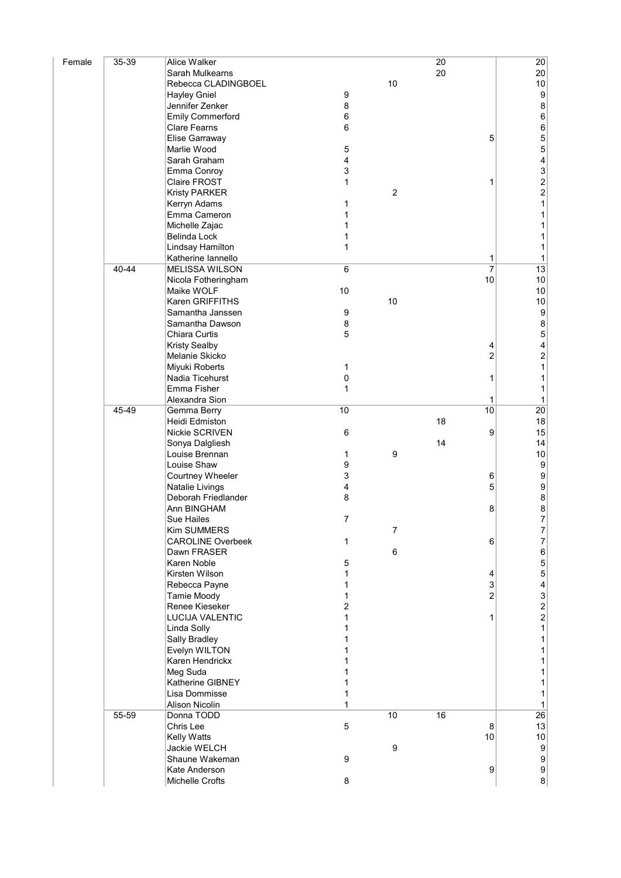| Female | 35-39 | Alice Walker                        |        |                  | 20 |                | 20                                         |
|--------|-------|-------------------------------------|--------|------------------|----|----------------|--------------------------------------------|
|        |       | Sarah Mulkearns                     |        |                  | 20 |                | 20                                         |
|        |       | Rebecca CLADINGBOEL                 |        | 10               |    |                | $10$                                       |
|        |       | <b>Hayley Gniel</b>                 | 9      |                  |    |                | $\boldsymbol{9}$                           |
|        |       | Jennifer Zenker                     | 8      |                  |    |                | $\bf 8$                                    |
|        |       | <b>Emily Commerford</b>             | 6      |                  |    |                | $\boldsymbol{6}$                           |
|        |       | <b>Clare Fearns</b>                 | 6      |                  |    |                | $\boldsymbol{6}$                           |
|        |       | Elise Garraway                      |        |                  |    | 5              | 5                                          |
|        |       | Marlie Wood                         | 5      |                  |    |                | 5                                          |
|        |       | Sarah Graham                        | 4      |                  |    |                | 4                                          |
|        |       | Emma Conroy                         | 3      |                  |    |                | $\begin{array}{c} 3 \\ 2 \\ 2 \end{array}$ |
|        |       | Claire FROST                        | 1      |                  |    | 1              |                                            |
|        |       | <b>Kristy PARKER</b>                |        | $\overline{c}$   |    |                |                                            |
|        |       | Kerryn Adams                        | 1      |                  |    |                | $\mathbf{1}$                               |
|        |       | Emma Cameron                        | 1      |                  |    |                | $\mathbf 1$                                |
|        |       | Michelle Zajac                      | 1      |                  |    |                | 1                                          |
|        |       | Belinda Lock                        | 1      |                  |    |                | 1                                          |
|        |       | Lindsay Hamilton                    | 1      |                  |    |                | 1                                          |
|        |       | Katherine lannello                  |        |                  |    | 1              | $\mathbf 1$                                |
|        | 40-44 | <b>MELISSA WILSON</b>               | $\,6$  |                  |    | $\overline{7}$ | $\overline{13}$                            |
|        |       | Nicola Fotheringham                 |        |                  |    | 10             | 10                                         |
|        |       | Maike WOLF                          | 10     |                  |    |                | $10$                                       |
|        |       | Karen GRIFFITHS                     |        | $10$             |    |                | $10$                                       |
|        |       | Samantha Janssen                    | 9      |                  |    |                | $\boldsymbol{9}$                           |
|        |       | Samantha Dawson                     | 8      |                  |    |                | 8                                          |
|        |       | Chiara Curtis                       | 5      |                  |    |                | 5                                          |
|        |       | <b>Kristy Sealby</b>                |        |                  |    | 4              | 4                                          |
|        |       | Melanie Skicko                      |        |                  |    | $\overline{c}$ | $\overline{\mathbf{c}}$                    |
|        |       | Miyuki Roberts                      | 1      |                  |    |                | $\mathbf{1}$                               |
|        |       | Nadia Ticehurst                     | 0      |                  |    | 1              | 1                                          |
|        |       | Emma Fisher                         | 1      |                  |    |                | 1                                          |
|        |       | Alexandra Sion                      |        |                  |    | 1              | 1                                          |
|        | 45-49 | Gemma Berry                         | 10     |                  |    | 10             | $\overline{20}$                            |
|        |       | Heidi Edmiston                      |        |                  | 18 |                | 18                                         |
|        |       | Nickie SCRIVEN                      | 6      |                  |    | 9              | 15                                         |
|        |       | Sonya Dalgliesh                     |        |                  | 14 |                | 14                                         |
|        |       | Louise Brennan<br>Louise Shaw       | 1<br>9 | $\boldsymbol{9}$ |    |                | $10$<br>$\boldsymbol{9}$                   |
|        |       |                                     | 3      |                  |    | 6              | $\boldsymbol{9}$                           |
|        |       | Courtney Wheeler<br>Natalie Livings | 4      |                  |    | 5              | $\boldsymbol{9}$                           |
|        |       | Deborah Friedlander                 | 8      |                  |    |                | $\bf 8$                                    |
|        |       | Ann BINGHAM                         |        |                  |    | 8              | 8                                          |
|        |       | Sue Hailes                          | 7      |                  |    |                | 7                                          |
|        |       | <b>Kim SUMMERS</b>                  |        | $\overline{7}$   |    |                | 7                                          |
|        |       | <b>CAROLINE Overbeek</b>            | 1      |                  |    | 6              | $\overline{7}$                             |
|        |       | Dawn FRASER                         |        | $\,6$            |    |                | 6                                          |
|        |       | Karen Noble                         | 5      |                  |    |                | 5                                          |
|        |       | Kirsten Wilson                      | 1      |                  |    | 4              | 5                                          |
|        |       | Rebecca Payne                       | 1      |                  |    | 3              | $\overline{\mathcal{L}}$                   |
|        |       | Tamie Moody                         | 1      |                  |    | $\overline{2}$ |                                            |
|        |       | Renee Kieseker                      | 2      |                  |    |                | $\frac{3}{2}$                              |
|        |       | <b>LUCIJA VALENTIC</b>              | 1      |                  |    | 1              | $\overline{a}$                             |
|        |       | Linda Solly                         | 1      |                  |    |                | $\mathbf 1$                                |
|        |       | Sally Bradley                       | 1      |                  |    |                | $\mathbf 1$                                |
|        |       | Evelyn WILTON                       | 1      |                  |    |                | $\mathbf 1$                                |
|        |       | Karen Hendrickx                     |        |                  |    |                | 1                                          |
|        |       | Meg Suda                            |        |                  |    |                | 1                                          |
|        |       | Katherine GIBNEY                    |        |                  |    |                | 1                                          |
|        |       | Lisa Dommisse                       | 1      |                  |    |                | 1                                          |
|        |       | <b>Alison Nicolin</b>               | 1      |                  |    |                | 1                                          |
|        | 55-59 | Donna TODD                          |        | 10               | 16 |                | $\overline{26}$                            |
|        |       | Chris Lee                           | 5      |                  |    | 8              | 13                                         |
|        |       | Kelly Watts                         |        |                  |    | 10             | $10$                                       |
|        |       | Jackie WELCH                        |        | $\boldsymbol{9}$ |    |                | $\boldsymbol{9}$                           |
|        |       | Shaune Wakeman                      | 9      |                  |    |                | $\boldsymbol{9}$                           |
|        |       | Kate Anderson                       |        |                  |    | 9              | $\boldsymbol{9}$                           |
|        |       | Michelle Crofts                     | 8      |                  |    |                | $\bf8$                                     |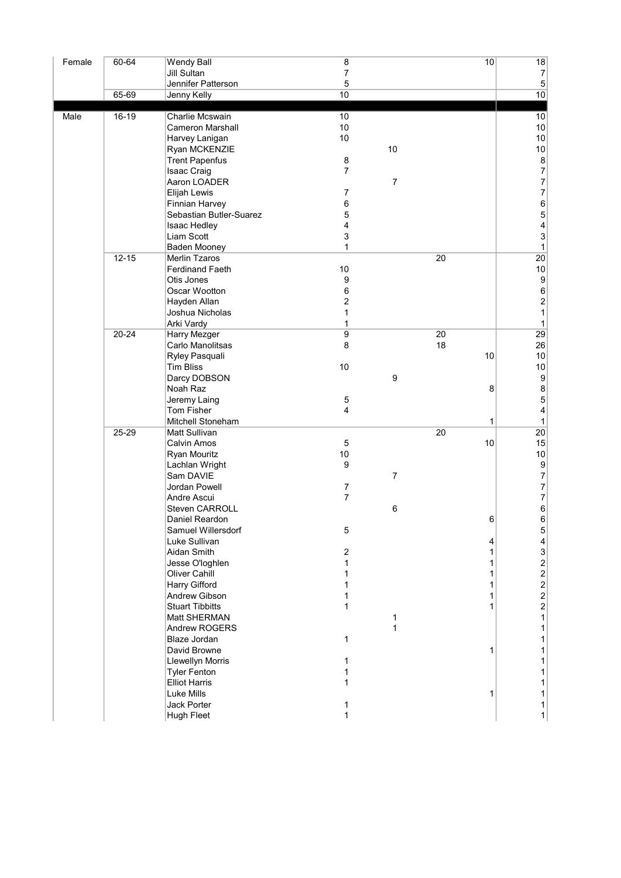| Female | 60-64     | <b>Wendy Ball</b>       | $\bf 8$          |                  |    | 10 | 18                        |
|--------|-----------|-------------------------|------------------|------------------|----|----|---------------------------|
|        |           | <b>Jill Sultan</b>      | $\overline{7}$   |                  |    |    | $\boldsymbol{7}$          |
|        |           | Jennifer Patterson      | 5                |                  |    |    | $\mathbf 5$               |
|        | 65-69     | Jenny Kelly             | 10               |                  |    |    | 10                        |
|        |           |                         |                  |                  |    |    |                           |
| Male   | 16-19     | Charlie Mcswain         | 10               |                  |    |    | 10                        |
|        |           | <b>Cameron Marshall</b> | 10               |                  |    |    | $10$                      |
|        |           | Harvey Lanigan          | $10\,$           |                  |    |    | 10                        |
|        |           | Ryan MCKENZIE           |                  | 10               |    |    | $10\,$                    |
|        |           | <b>Trent Papenfus</b>   | $\bf 8$          |                  |    |    | $\bf 8$                   |
|        |           | <b>Isaac Craig</b>      | $\overline{7}$   |                  |    |    | $\boldsymbol{7}$          |
|        |           | Aaron LOADER            |                  | $\overline{7}$   |    |    | $\overline{7}$            |
|        |           | <b>Elijah Lewis</b>     | $\overline{7}$   |                  |    |    | $\boldsymbol{7}$          |
|        |           | <b>Finnian Harvey</b>   | 6                |                  |    |    | $\boldsymbol{6}$          |
|        |           | Sebastian Butler-Suarez | 5                |                  |    |    | $\overline{5}$            |
|        |           | Isaac Hedley            | 4                |                  |    |    | 4                         |
|        |           | Liam Scott              | 3                |                  |    |    | $\ensuremath{\mathsf{3}}$ |
|        |           | Baden Mooney            | 1                |                  |    |    | $\mathbf{1}$              |
|        | $12 - 15$ | Merlin Tzaros           |                  |                  | 20 |    | 20                        |
|        |           | <b>Ferdinand Faeth</b>  | $10\,$           |                  |    |    | $10$                      |
|        |           | Otis Jones              | 9                |                  |    |    | $\boldsymbol{9}$          |
|        |           | Oscar Wootton           | 6                |                  |    |    | $\boldsymbol{6}$          |
|        |           | Hayden Allan            | 2                |                  |    |    | $\overline{a}$            |
|        |           | Joshua Nicholas         | 1                |                  |    |    | $\mathbf{1}$              |
|        |           | Arki Vardy              | 1                |                  |    |    | $\mathbf{1}$              |
|        | $20 - 24$ | Harry Mezger            | 9                |                  | 20 |    | 29                        |
|        |           | Carlo Manolitsas        | 8                |                  | 18 |    | 26                        |
|        |           | Ryley Pasquali          |                  |                  |    | 10 | $10$                      |
|        |           | <b>Tim Bliss</b>        | $10\,$           |                  |    |    | $10\,$                    |
|        |           | Darcy DOBSON            |                  | $\boldsymbol{9}$ |    |    | $\boldsymbol{9}$          |
|        |           | Noah Raz                |                  |                  |    | 8  | $\bf8$                    |
|        |           | Jeremy Laing            | 5                |                  |    |    | $\sqrt{5}$                |
|        |           | Tom Fisher              | 4                |                  |    |    | 4                         |
|        |           | Mitchell Stoneham       |                  |                  |    | 1  | $\mathbf{1}$              |
|        | 25-29     | Matt Sullivan           |                  |                  | 20 |    | 20                        |
|        |           | Calvin Amos             | $\mathbf 5$      |                  |    | 10 | 15                        |
|        |           | Ryan Mouritz            | $10\,$           |                  |    |    | $10$                      |
|        |           | Lachlan Wright          | 9                |                  |    |    | $\boldsymbol{9}$          |
|        |           | Sam DAVIE               |                  | $\boldsymbol{7}$ |    |    | $\boldsymbol{7}$          |
|        |           | Jordan Powell           | $\overline{7}$   |                  |    |    | $\boldsymbol{7}$          |
|        |           | Andre Ascui             | $\overline{7}$   |                  |    |    | $\boldsymbol{7}$          |
|        |           | Steven CARROLL          |                  | 6                |    |    | $\,6$                     |
|        |           | Daniel Reardon          |                  |                  |    | 6  | $\,6$                     |
|        |           | Samuel Willersdorf      | 5                |                  |    |    | 5 <sup>5</sup>            |
|        |           | Luke Sullivan           |                  |                  |    | 4  | 4                         |
|        |           | Aidan Smith             | $\boldsymbol{2}$ |                  |    | 1  | $\mathsf 3$               |
|        |           | Jesse O'loghlen         | 1                |                  |    | 1  |                           |
|        |           | Oliver Cahill           | 1                |                  |    | 1  | $2222$<br>$222$           |
|        |           | Harry Gifford           | 1                |                  |    | 1  |                           |
|        |           | Andrew Gibson           | 1                |                  |    | 1  |                           |
|        |           | <b>Stuart Tibbitts</b>  | 1                |                  |    | 1  |                           |
|        |           | Matt SHERMAN            |                  | 1                |    |    | $\mathbf{1}$              |
|        |           | Andrew ROGERS           |                  | 1                |    |    | $\mathbf{1}$              |
|        |           | Blaze Jordan            | 1                |                  |    |    | 1                         |
|        |           | David Browne            |                  |                  |    | 1  |                           |
|        |           |                         |                  |                  |    |    | 1                         |
|        |           | <b>Llewellyn Morris</b> | 1                |                  |    |    | 1                         |
|        |           | <b>Tyler Fenton</b>     | 1                |                  |    |    | 1                         |
|        |           | <b>Elliot Harris</b>    | 1                |                  |    |    | 1                         |
|        |           | Luke Mills              |                  |                  |    | 1  | $\mathbf{1}$              |
|        |           | Jack Porter             | 1                |                  |    |    | 1                         |
|        |           | Hugh Fleet              | 1                |                  |    |    | $\mathbf{1}$              |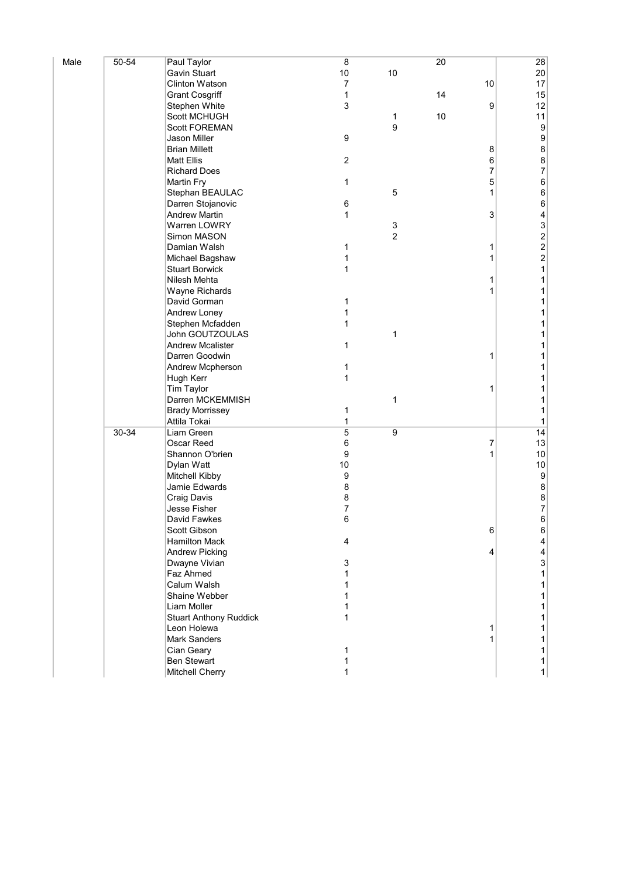| Male | 50-54 | Paul Taylor                   | $\bf 8$          |                | 20 |    | 28                                         |
|------|-------|-------------------------------|------------------|----------------|----|----|--------------------------------------------|
|      |       | Gavin Stuart                  | $10$             | 10             |    |    | $20\,$                                     |
|      |       | <b>Clinton Watson</b>         | 7                |                |    | 10 | 17                                         |
|      |       | <b>Grant Cosgriff</b>         | $\mathbf{1}$     |                | 14 |    | 15                                         |
|      |       | Stephen White                 | 3                |                |    | 9  | 12                                         |
|      |       | Scott MCHUGH                  |                  | 1              | 10 |    | 11                                         |
|      |       | <b>Scott FOREMAN</b>          |                  | 9              |    |    | $\boldsymbol{9}$                           |
|      |       | Jason Miller                  | 9                |                |    |    | $\boldsymbol{9}$                           |
|      |       | <b>Brian Millett</b>          |                  |                |    | 8  | $\bf 8$                                    |
|      |       | <b>Matt Ellis</b>             | $\boldsymbol{2}$ |                |    | 6  | $\,8\,$                                    |
|      |       | <b>Richard Does</b>           |                  |                |    | 7  | $\overline{7}$                             |
|      |       | <b>Martin Fry</b>             | 1                |                |    | 5  | $\,6$                                      |
|      |       | Stephan BEAULAC               |                  | 5              |    | 1  | $\,6$                                      |
|      |       | Darren Stojanovic             | 6                |                |    |    | $\,6$                                      |
|      |       | <b>Andrew Martin</b>          | 1                |                |    | 3  | 4                                          |
|      |       | Warren LOWRY                  |                  | 3              |    |    | $\ensuremath{\mathsf{3}}$                  |
|      |       | Simon MASON                   |                  | $\overline{c}$ |    |    |                                            |
|      |       | Damian Walsh                  | 1                |                |    | 1  | $\begin{array}{c} 2 \\ 2 \\ 2 \end{array}$ |
|      |       | Michael Bagshaw               | 1                |                |    | 1  |                                            |
|      |       | <b>Stuart Borwick</b>         | 1                |                |    |    | $\mathbf{1}$                               |
|      |       | Nilesh Mehta                  |                  |                |    | 1  | 1                                          |
|      |       | Wayne Richards                |                  |                |    | 1  | 1                                          |
|      |       | David Gorman                  | 1                |                |    |    | 1                                          |
|      |       | Andrew Loney                  | 1                |                |    |    | 1                                          |
|      |       | Stephen Mcfadden              | 1                |                |    |    | 1                                          |
|      |       | John GOUTZOULAS               |                  | $\mathbf{1}$   |    |    | 1                                          |
|      |       | <b>Andrew Mcalister</b>       | 1                |                |    |    | 1                                          |
|      |       | Darren Goodwin                |                  |                |    | 1  | 1                                          |
|      |       | Andrew Mcpherson              | 1                |                |    |    | 1                                          |
|      |       | Hugh Kerr                     | 1                |                |    |    | 1                                          |
|      |       | Tim Taylor                    |                  |                |    | 1  | 1                                          |
|      |       | Darren MCKEMMISH              |                  | 1              |    |    | 1                                          |
|      |       | <b>Brady Morrissey</b>        | 1                |                |    |    | 1                                          |
|      |       | Attila Tokai                  | 1                |                |    |    | 1                                          |
|      | 30-34 | Liam Green                    | 5                | $9\,$          |    |    | 14                                         |
|      |       | Oscar Reed                    | 6                |                |    | 7  | 13                                         |
|      |       | Shannon O'brien               | 9                |                |    | 1  | $10$                                       |
|      |       | Dylan Watt                    | 10               |                |    |    | $10$                                       |
|      |       | Mitchell Kibby                | 9                |                |    |    | $\boldsymbol{9}$                           |
|      |       | Jamie Edwards                 | 8                |                |    |    | $\bf 8$                                    |
|      |       | Craig Davis                   | 8                |                |    |    | $\bf 8$                                    |
|      |       | Jesse Fisher                  | 7                |                |    |    | $\overline{7}$                             |
|      |       | David Fawkes                  | 6                |                |    |    | 6                                          |
|      |       | Scott Gibson                  |                  |                |    | 6  | $\,6$                                      |
|      |       | <b>Hamilton Mack</b>          | 4                |                |    |    | 4                                          |
|      |       | <b>Andrew Picking</b>         |                  |                |    | 4  | 4                                          |
|      |       | Dwayne Vivian                 | 3                |                |    |    | $\ensuremath{\mathsf{3}}$                  |
|      |       | Faz Ahmed                     |                  |                |    |    | 1                                          |
|      |       | Calum Walsh                   |                  |                |    |    |                                            |
|      |       | Shaine Webber                 |                  |                |    |    | 1                                          |
|      |       | Liam Moller                   |                  |                |    |    | 1                                          |
|      |       | <b>Stuart Anthony Ruddick</b> | 1                |                |    |    | 1                                          |
|      |       | Leon Holewa                   |                  |                |    | 1  | 1                                          |
|      |       | <b>Mark Sanders</b>           |                  |                |    |    | 1                                          |
|      |       | Cian Geary                    | 1                |                |    |    | 1                                          |
|      |       | <b>Ben Stewart</b>            | 1                |                |    |    | 1                                          |
|      |       | Mitchell Cherry               | 1                |                |    |    | $\mathbf{1}$                               |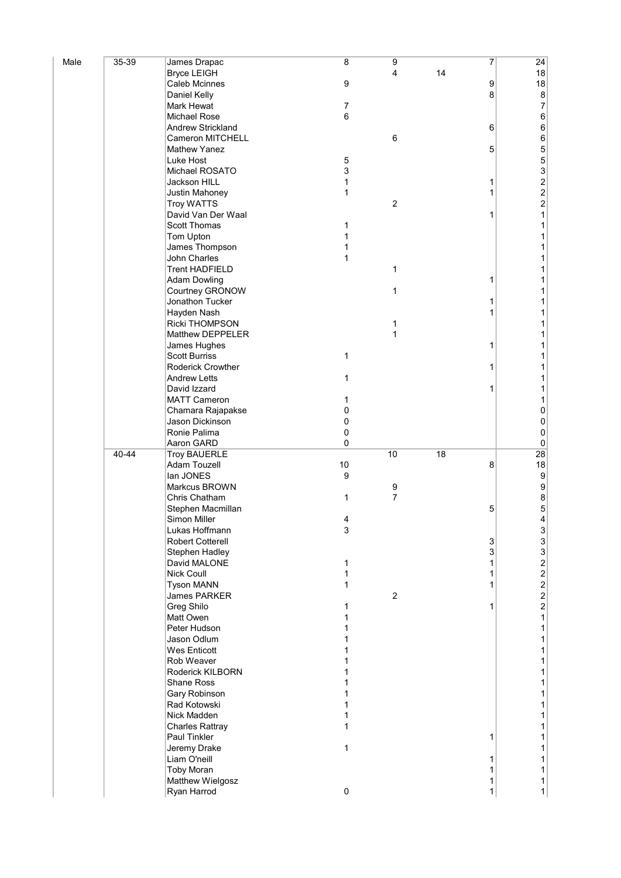| Male | 35-39 | James Drapac                    | 8            | $\overline{9}$      |    | 7 | 24                                           |
|------|-------|---------------------------------|--------------|---------------------|----|---|----------------------------------------------|
|      |       | <b>Bryce LEIGH</b>              |              | 4                   | 14 |   | 18                                           |
|      |       | <b>Caleb Mcinnes</b>            | 9            |                     |    | 9 | 18                                           |
|      |       | Daniel Kelly                    |              |                     |    | 8 | $\bf 8$                                      |
|      |       | <b>Mark Hewat</b>               | 7            |                     |    |   | $\boldsymbol{7}$                             |
|      |       | Michael Rose                    | 6            |                     |    |   | $\,6$                                        |
|      |       | Andrew Strickland               |              |                     |    | 6 | $\,6\,$                                      |
|      |       | Cameron MITCHELL                |              | 6                   |    |   | $\,6\,$                                      |
|      |       | <b>Mathew Yanez</b>             |              |                     |    | 5 | 5                                            |
|      |       | Luke Host                       | 5            |                     |    |   |                                              |
|      |       | Michael ROSATO                  | 3            |                     |    |   |                                              |
|      |       | Jackson HILL                    | 1            |                     |    | 1 |                                              |
|      |       | Justin Mahoney                  | 1            |                     |    | 1 |                                              |
|      |       | <b>Troy WATTS</b>               |              | $\sqrt{2}$          |    |   |                                              |
|      |       | David Van Der Waal              |              |                     |    | 1 | 532221                                       |
|      |       | Scott Thomas                    | 1            |                     |    |   | 1                                            |
|      |       | Tom Upton                       | 1            |                     |    |   | 1                                            |
|      |       | James Thompson                  | 1            |                     |    |   | 1                                            |
|      |       | John Charles                    | 1            |                     |    |   | 1                                            |
|      |       | <b>Trent HADFIELD</b>           |              | 1                   |    |   | 1                                            |
|      |       | <b>Adam Dowling</b>             |              |                     |    | 1 | 1                                            |
|      |       | Courtney GRONOW                 |              | 1                   |    |   | 1                                            |
|      |       | Jonathon Tucker                 |              |                     |    | 1 | 1                                            |
|      |       | Hayden Nash                     |              |                     |    | 1 | 1                                            |
|      |       | <b>Ricki THOMPSON</b>           |              | 1                   |    |   | 1                                            |
|      |       | Matthew DEPPELER                |              | 1                   |    |   | 1                                            |
|      |       | James Hughes                    |              |                     |    | 1 | 1                                            |
|      |       | <b>Scott Burriss</b>            | $\mathbf{1}$ |                     |    |   | 1                                            |
|      |       | <b>Roderick Crowther</b>        |              |                     |    | 1 | 1                                            |
|      |       | <b>Andrew Letts</b>             | 1            |                     |    |   | 1                                            |
|      |       | David Izzard                    |              |                     |    | 1 | 1                                            |
|      |       | <b>MATT Cameron</b>             | 1            |                     |    |   | 1                                            |
|      |       | Chamara Rajapakse               | 0            |                     |    |   | 0                                            |
|      |       | Jason Dickinson                 | 0            |                     |    |   | $\pmb{0}$                                    |
|      |       |                                 |              |                     |    |   |                                              |
|      |       |                                 |              |                     |    |   |                                              |
|      |       | Ronie Palima                    | 0            |                     |    |   | $\pmb{0}$                                    |
|      |       | Aaron GARD                      | 0            |                     |    |   | $\pmb{0}$                                    |
|      | 40-44 | <b>Troy BAUERLE</b>             |              | 10                  | 18 | 8 | 28                                           |
|      |       | Adam Touzell<br>lan JONES       | 10<br>9      |                     |    |   | 18<br>$\boldsymbol{9}$                       |
|      |       | Markcus BROWN                   |              |                     |    |   |                                              |
|      |       | Chris Chatham                   | 1            | 9<br>$\overline{7}$ |    |   | $\boldsymbol{9}$                             |
|      |       | Stephen Macmillan               |              |                     |    | 5 | $\bf 8$                                      |
|      |       | Simon Miller                    | 4            |                     |    |   | 5<br>4                                       |
|      |       | Lukas Hoffmann                  | 3            |                     |    |   |                                              |
|      |       | <b>Robert Cotterell</b>         |              |                     |    | 3 | $\ensuremath{\mathsf{3}}$                    |
|      |       | Stephen Hadley                  |              |                     |    | 3 | $\mathbf{3}$                                 |
|      |       | David MALONE                    | 1            |                     |    | 1 | $\mathbf{3}$                                 |
|      |       | <b>Nick Coull</b>               | 1            |                     |    | 1 | $\overline{\mathbf{c}}$                      |
|      |       | <b>Tyson MANN</b>               | 1            |                     |    | 1 |                                              |
|      |       | James PARKER                    |              | $\overline{2}$      |    |   |                                              |
|      |       |                                 | 1            |                     |    | 1 | $\begin{array}{c}\n2 \\ 2 \\ 2\n\end{array}$ |
|      |       | <b>Greg Shilo</b><br>Matt Owen  | 1            |                     |    |   | 1                                            |
|      |       | Peter Hudson                    | 1            |                     |    |   | 1                                            |
|      |       | Jason Odlum                     |              |                     |    |   | 1                                            |
|      |       | <b>Wes Enticott</b>             |              |                     |    |   | 1                                            |
|      |       | Rob Weaver                      |              |                     |    |   | 1                                            |
|      |       | Roderick KILBORN                |              |                     |    |   | 1                                            |
|      |       | Shane Ross                      |              |                     |    |   | 1                                            |
|      |       | Gary Robinson                   |              |                     |    |   | 1                                            |
|      |       | Rad Kotowski                    |              |                     |    |   | 1                                            |
|      |       | Nick Madden                     |              |                     |    |   | 1                                            |
|      |       | <b>Charles Rattray</b>          | 1            |                     |    |   | 1                                            |
|      |       | <b>Paul Tinkler</b>             |              |                     |    | 1 | 1                                            |
|      |       | Jeremy Drake                    | 1            |                     |    |   | 1                                            |
|      |       | Liam O'neill                    |              |                     |    |   | 1                                            |
|      |       | <b>Toby Moran</b>               |              |                     |    |   | 1                                            |
|      |       | Matthew Wielgosz<br>Ryan Harrod | $\pmb{0}$    |                     |    | 1 | $\mathbf{1}$<br>1                            |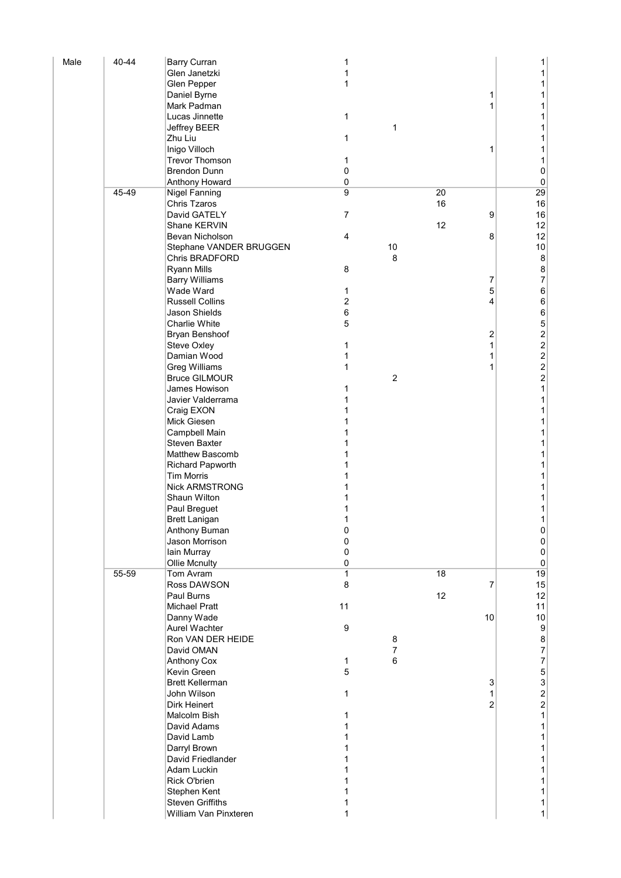| Male | 40-44 | <b>Barry Curran</b>                          | 1                |         |    |                | 1                |
|------|-------|----------------------------------------------|------------------|---------|----|----------------|------------------|
|      |       | Glen Janetzki                                | 1                |         |    |                | 1                |
|      |       | Glen Pepper                                  | 1                |         |    |                | 1                |
|      |       | Daniel Byrne                                 |                  |         |    | 1              | 1                |
|      |       | Mark Padman                                  |                  |         |    | 1              | 1                |
|      |       | Lucas Jinnette<br>Jeffrey BEER               | 1                | 1       |    |                | 1<br>1           |
|      |       | Zhu Liu                                      | 1                |         |    |                | 1                |
|      |       | Inigo Villoch                                |                  |         |    | 1              | 1                |
|      |       | <b>Trevor Thomson</b>                        | 1                |         |    |                | 1                |
|      |       | <b>Brendon Dunn</b>                          | 0                |         |    |                | $\pmb{0}$        |
|      |       | Anthony Howard                               | 0                |         |    |                | $\pmb{0}$        |
|      | 45-49 | <b>Nigel Fanning</b>                         | 9                |         | 20 |                | 29               |
|      |       | <b>Chris Tzaros</b>                          |                  |         | 16 |                | 16               |
|      |       | David GATELY                                 | $\overline{7}$   |         |    | 9              | 16               |
|      |       | Shane KERVIN                                 |                  |         | 12 |                | 12               |
|      |       | Bevan Nicholson                              | $\overline{4}$   |         |    | 8              | 12               |
|      |       | Stephane VANDER BRUGGEN<br>Chris BRADFORD    |                  | 10<br>8 |    |                | 10<br>$\bf 8$    |
|      |       | <b>Ryann Mills</b>                           | 8                |         |    |                | $\bf 8$          |
|      |       | <b>Barry Williams</b>                        |                  |         |    | 7              | $\overline{7}$   |
|      |       | Wade Ward                                    | 1                |         |    | 5              | $\,6$            |
|      |       | <b>Russell Collins</b>                       | $\overline{2}$   |         |    | 4              | $\,6\,$          |
|      |       | Jason Shields                                | $\,6$            |         |    |                | $\mathbf 6$      |
|      |       | <b>Charlie White</b>                         | $\sqrt{5}$       |         |    |                |                  |
|      |       | Bryan Benshoof                               |                  |         |    | 2              |                  |
|      |       | <b>Steve Oxley</b>                           | 1                |         |    | 1              |                  |
|      |       | Damian Wood                                  | 1                |         |    |                |                  |
|      |       | <b>Greg Williams</b><br><b>Bruce GILMOUR</b> | 1                | 2       |    | 1              | 52222            |
|      |       | James Howison                                | 1                |         |    |                | $\mathbf 1$      |
|      |       | Javier Valderrama                            | 1                |         |    |                | 1                |
|      |       | Craig EXON                                   |                  |         |    |                | 1                |
|      |       | Mick Giesen                                  |                  |         |    |                | 1                |
|      |       | Campbell Main                                |                  |         |    |                | 1                |
|      |       | <b>Steven Baxter</b>                         |                  |         |    |                | 1                |
|      |       | <b>Matthew Bascomb</b>                       |                  |         |    |                | 1                |
|      |       | Richard Papworth                             |                  |         |    |                | 1                |
|      |       | <b>Tim Morris</b><br><b>Nick ARMSTRONG</b>   |                  |         |    |                | 1<br>1           |
|      |       | Shaun Wilton                                 |                  |         |    |                | 1                |
|      |       | Paul Breguet                                 |                  |         |    |                | 1                |
|      |       | <b>Brett Lanigan</b>                         | 1                |         |    |                | 1                |
|      |       | Anthony Buman                                | 0                |         |    |                | 0                |
|      |       | Jason Morrison                               | $\pmb{0}$        |         |    |                | $\vert 0 \vert$  |
|      |       | Iain Murray                                  | $\pmb{0}$        |         |    |                | $\pmb{0}$        |
|      |       | <b>Ollie Mcnulty</b>                         | $\pmb{0}$        |         |    |                | $\mathbf{0}$     |
|      | 55-59 | Tom Avram                                    | $\mathbf{1}$     |         | 18 |                | 19               |
|      |       | Ross DAWSON                                  | 8                |         |    | $\overline{7}$ | 15               |
|      |       | Paul Burns<br><b>Michael Pratt</b>           | 11               |         | 12 |                | 12<br>11         |
|      |       | Danny Wade                                   |                  |         |    | 10             | 10               |
|      |       | Aurel Wachter                                | $\boldsymbol{9}$ |         |    |                | $\boldsymbol{9}$ |
|      |       | Ron VAN DER HEIDE                            |                  | 8       |    |                |                  |
|      |       | David OMAN                                   |                  | 7       |    |                | 87753221         |
|      |       | <b>Anthony Cox</b>                           | 1                | 6       |    |                |                  |
|      |       | Kevin Green                                  | $\overline{5}$   |         |    |                |                  |
|      |       | <b>Brett Kellerman</b>                       |                  |         |    | 3              |                  |
|      |       | John Wilson                                  | 1                |         |    |                |                  |
|      |       | <b>Dirk Heinert</b>                          |                  |         |    | $\overline{2}$ |                  |
|      |       | Malcolm Bish<br>David Adams                  | 1<br>1           |         |    |                | $\mathbf 1$      |
|      |       | David Lamb                                   |                  |         |    |                | 1                |
|      |       | Darryl Brown                                 |                  |         |    |                | 1                |
|      |       | David Friedlander                            |                  |         |    |                | 1                |
|      |       | Adam Luckin                                  | 1                |         |    |                | 1                |
|      |       | Rick O'brien                                 | 1                |         |    |                | 1                |
|      |       | Stephen Kent                                 | 1                |         |    |                | 1                |
|      |       | <b>Steven Griffiths</b>                      | 1                |         |    |                | 1                |
|      |       | William Van Pinxteren                        | 1                |         |    |                | $\mathbf{1}$     |